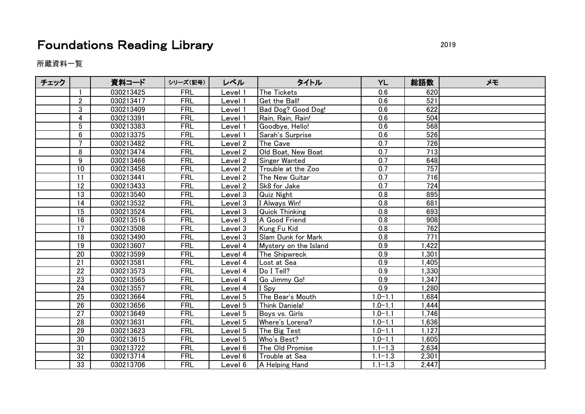## Foundations Reading Library **Example 2019** 2019

所蔵資料一覧

| チェック |                  | 資料コード     | シリーズ(記号)   | レベル       | タイトル                  | <b>YL</b>             | 総語数              | メモ |
|------|------------------|-----------|------------|-----------|-----------------------|-----------------------|------------------|----|
|      | $\overline{1}$   | 030213425 | <b>FRL</b> | Level 1   | The Tickets           | 0.6                   | 620              |    |
|      | $\overline{2}$   | 030213417 | <b>FRL</b> | Level 1   | Get the Ball!         | 0.6                   | $\overline{521}$ |    |
|      | 3                | 030213409 | <b>FRL</b> | Level 1   | Bad Dog? Good Dog!    | 0.6                   | 622              |    |
|      | $\overline{4}$   | 030213391 | <b>FRL</b> | Level 1   | Rain, Rain, Rain!     | 0.6                   | 504              |    |
|      | 5                | 030213383 | <b>FRL</b> | Level 1   | Goodbye, Hello!       | 0.6                   | 568              |    |
|      | $\boldsymbol{6}$ | 030213375 | <b>FRL</b> | Level 1   | Sarah's Surprise      | 0.6                   | 526              |    |
|      | $\overline{7}$   | 030213482 | <b>FRL</b> | Level 2   | The Cave              | 0.7                   | 726              |    |
|      | 8                | 030213474 | <b>FRL</b> | Level 2   | Old Boat, New Boat    | 0.7                   | $\overline{713}$ |    |
|      | 9                | 030213466 | <b>FRL</b> | Level 2   | Singer Wanted         | 0.7                   | 648              |    |
|      | 10               | 030213458 | <b>FRL</b> | Level 2   | Trouble at the Zoo    | 0.7                   | 757              |    |
|      | 11               | 030213441 | <b>FRL</b> | Level 2   | The New Guitar        | 0.7                   | 716              |    |
|      | 12               | 030213433 | <b>FRL</b> | Level 2   | Sk8 for Jake          | 0.7                   | 724              |    |
|      | 13               | 030213540 | <b>FRL</b> | Level 3   | <b>Quiz Night</b>     | 0.8                   | 895              |    |
|      | 14               | 030213532 | <b>FRL</b> | Level 3   | I Always Win!         | 0.8                   | 681              |    |
|      | 15               | 030213524 | <b>FRL</b> | Level 3   | <b>Quick Thinking</b> | 0.8                   | 693              |    |
|      | 16               | 030213516 | <b>FRL</b> | Level 3   | A Good Friend         | 0.8                   | 908              |    |
|      | $\overline{17}$  | 030213508 | <b>FRL</b> | Level 3   | Kung Fu Kid           | 0.8                   | 762              |    |
|      | 18               | 030213490 | <b>FRL</b> | Level 3   | Slam Dunk for Mark    | 0.8                   | 771              |    |
|      | 19               | 030213607 | <b>FRL</b> | Level 4   | Mystery on the Island | 0.9                   | 1,422            |    |
|      | $\overline{20}$  | 030213599 | <b>FRL</b> | Level 4   | The Shipwreck         | 0.9                   | 1,301            |    |
|      | 21               | 030213581 | <b>FRL</b> | Level 4   | Lost at Sea           | 0.9                   | 1,405            |    |
|      | 22               | 030213573 | <b>FRL</b> | Level 4   | Do I Tell?            | 0.9                   | 1,330            |    |
|      | 23               | 030213565 | <b>FRL</b> | Level 4   | Go Jimmy Go!          | 0.9                   | 1,347            |    |
|      | 24               | 030213557 | <b>FRL</b> | Level 4   | I Spy                 | 0.9                   | 1,280            |    |
|      | 25               | 030213664 | <b>FRL</b> | Level $5$ | The Bear's Mouth      | $1.0 - 1.1$           | 1,684            |    |
|      | $\overline{26}$  | 030213656 | <b>FRL</b> | Level 5   | Think Daniela!        | $1.0 - 1.1$           | 1,444            |    |
|      | 27               | 030213649 | <b>FRL</b> | Level 5   | Boys vs. Girls        | $1.0 - 1.1$           | 1,746            |    |
|      | $\overline{28}$  | 030213631 | <b>FRL</b> | Level 5   | Where's Lorena?       | $1.0 - 1.1$           | 1,636            |    |
|      | 29               | 030213623 | <b>FRL</b> | Level 5   | The Big Test          | $1.0 - 1.1$           | 1,127            |    |
|      | 30               | 030213615 | <b>FRL</b> | Level 5   | Who's Best?           | $1.0 - 1.1$           | 1,605            |    |
|      | $\overline{31}$  | 030213722 | <b>FRL</b> | Level 6   | The Old Promise       | $\overline{1}$ .1-1.3 | 2,634            |    |
|      | $\overline{32}$  | 030213714 | <b>FRL</b> | Level 6   | Trouble at Sea        | $1.1 - 1.3$           | 2,301            |    |
|      | 33               | 030213706 | <b>FRL</b> | Level 6   | A Helping Hand        | $1.1 - 1.3$           | 2,447            |    |